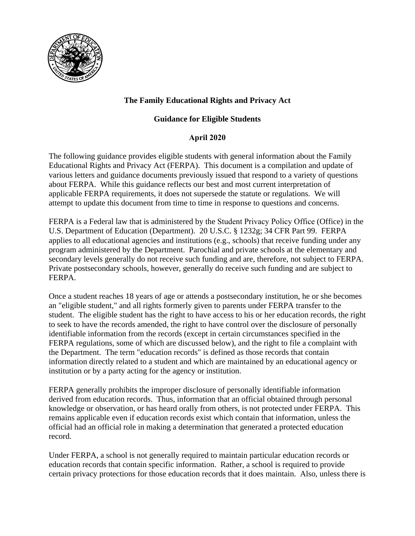

# **The Family Educational Rights and Privacy Act**

## **Guidance for Eligible Students**

## **April 2020**

The following guidance provides eligible students with general information about the Family Educational Rights and Privacy Act (FERPA). This document is a compilation and update of various letters and guidance documents previously issued that respond to a variety of questions about FERPA. While this guidance reflects our best and most current interpretation of applicable FERPA requirements, it does not supersede the statute or regulations. We will attempt to update this document from time to time in response to questions and concerns.

FERPA is a Federal law that is administered by the Student Privacy Policy Office (Office) in the U.S. Department of Education (Department). 20 U.S.C. § 1232g; 34 CFR Part 99. FERPA applies to all educational agencies and institutions (e.g., schools) that receive funding under any program administered by the Department. Parochial and private schools at the elementary and secondary levels generally do not receive such funding and are, therefore, not subject to FERPA. Private postsecondary schools, however, generally do receive such funding and are subject to FERPA.

Once a student reaches 18 years of age or attends a postsecondary institution, he or she becomes an "eligible student," and all rights formerly given to parents under FERPA transfer to the student. The eligible student has the right to have access to his or her education records, the right to seek to have the records amended, the right to have control over the disclosure of personally identifiable information from the records (except in certain circumstances specified in the FERPA regulations, some of which are discussed below), and the right to file a complaint with the Department. The term "education records" is defined as those records that contain information directly related to a student and which are maintained by an educational agency or institution or by a party acting for the agency or institution.

FERPA generally prohibits the improper disclosure of personally identifiable information derived from education records. Thus, information that an official obtained through personal knowledge or observation, or has heard orally from others, is not protected under FERPA. This remains applicable even if education records exist which contain that information, unless the official had an official role in making a determination that generated a protected education record.

Under FERPA, a school is not generally required to maintain particular education records or education records that contain specific information. Rather, a school is required to provide certain privacy protections for those education records that it does maintain. Also, unless there is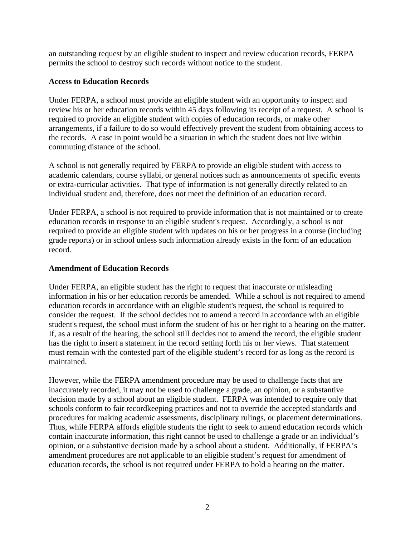an outstanding request by an eligible student to inspect and review education records, FERPA permits the school to destroy such records without notice to the student.

### **Access to Education Records**

Under FERPA, a school must provide an eligible student with an opportunity to inspect and review his or her education records within 45 days following its receipt of a request. A school is required to provide an eligible student with copies of education records, or make other arrangements, if a failure to do so would effectively prevent the student from obtaining access to the records. A case in point would be a situation in which the student does not live within commuting distance of the school.

A school is not generally required by FERPA to provide an eligible student with access to academic calendars, course syllabi, or general notices such as announcements of specific events or extra-curricular activities. That type of information is not generally directly related to an individual student and, therefore, does not meet the definition of an education record.

Under FERPA, a school is not required to provide information that is not maintained or to create education records in response to an eligible student's request. Accordingly, a school is not required to provide an eligible student with updates on his or her progress in a course (including grade reports) or in school unless such information already exists in the form of an education record.

## **Amendment of Education Records**

Under FERPA, an eligible student has the right to request that inaccurate or misleading information in his or her education records be amended. While a school is not required to amend education records in accordance with an eligible student's request, the school is required to consider the request. If the school decides not to amend a record in accordance with an eligible student's request, the school must inform the student of his or her right to a hearing on the matter. If, as a result of the hearing, the school still decides not to amend the record, the eligible student has the right to insert a statement in the record setting forth his or her views. That statement must remain with the contested part of the eligible student's record for as long as the record is maintained.

However, while the FERPA amendment procedure may be used to challenge facts that are inaccurately recorded, it may not be used to challenge a grade, an opinion, or a substantive decision made by a school about an eligible student. FERPA was intended to require only that schools conform to fair recordkeeping practices and not to override the accepted standards and procedures for making academic assessments, disciplinary rulings, or placement determinations. Thus, while FERPA affords eligible students the right to seek to amend education records which contain inaccurate information, this right cannot be used to challenge a grade or an individual's opinion, or a substantive decision made by a school about a student. Additionally, if FERPA's amendment procedures are not applicable to an eligible student's request for amendment of education records, the school is not required under FERPA to hold a hearing on the matter.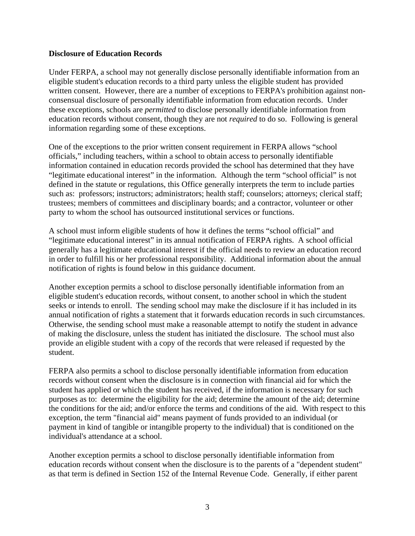#### **Disclosure of Education Records**

Under FERPA, a school may not generally disclose personally identifiable information from an eligible student's education records to a third party unless the eligible student has provided written consent. However, there are a number of exceptions to FERPA's prohibition against nonconsensual disclosure of personally identifiable information from education records. Under these exceptions, schools are *permitted* to disclose personally identifiable information from education records without consent, though they are not *required* to do so. Following is general information regarding some of these exceptions.

One of the exceptions to the prior written consent requirement in FERPA allows "school officials," including teachers, within a school to obtain access to personally identifiable information contained in education records provided the school has determined that they have "legitimate educational interest" in the information. Although the term "school official" is not defined in the statute or regulations, this Office generally interprets the term to include parties such as: professors; instructors; administrators; health staff; counselors; attorneys; clerical staff; trustees; members of committees and disciplinary boards; and a contractor, volunteer or other party to whom the school has outsourced institutional services or functions.

A school must inform eligible students of how it defines the terms "school official" and "legitimate educational interest" in its annual notification of FERPA rights. A school official generally has a legitimate educational interest if the official needs to review an education record in order to fulfill his or her professional responsibility. Additional information about the annual notification of rights is found below in this guidance document.

Another exception permits a school to disclose personally identifiable information from an eligible student's education records, without consent, to another school in which the student seeks or intends to enroll. The sending school may make the disclosure if it has included in its annual notification of rights a statement that it forwards education records in such circumstances. Otherwise, the sending school must make a reasonable attempt to notify the student in advance of making the disclosure, unless the student has initiated the disclosure. The school must also provide an eligible student with a copy of the records that were released if requested by the student.

FERPA also permits a school to disclose personally identifiable information from education records without consent when the disclosure is in connection with financial aid for which the student has applied or which the student has received, if the information is necessary for such purposes as to: determine the eligibility for the aid; determine the amount of the aid; determine the conditions for the aid; and/or enforce the terms and conditions of the aid. With respect to this exception, the term "financial aid" means payment of funds provided to an individual (or payment in kind of tangible or intangible property to the individual) that is conditioned on the individual's attendance at a school.

Another exception permits a school to disclose personally identifiable information from education records without consent when the disclosure is to the parents of a "dependent student" as that term is defined in Section 152 of the Internal Revenue Code. Generally, if either parent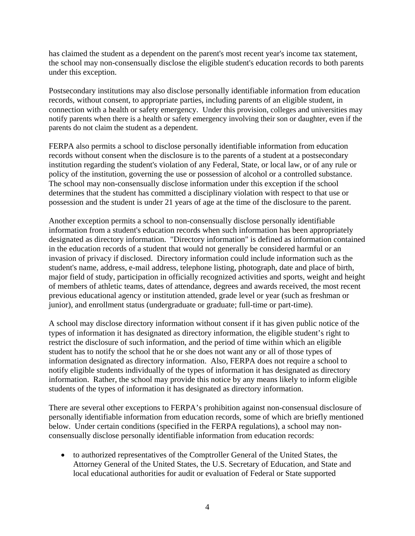has claimed the student as a dependent on the parent's most recent year's income tax statement, the school may non-consensually disclose the eligible student's education records to both parents under this exception.

Postsecondary institutions may also disclose personally identifiable information from education records, without consent, to appropriate parties, including parents of an eligible student, in connection with a health or safety emergency. Under this provision, colleges and universities may notify parents when there is a health or safety emergency involving their son or daughter, even if the parents do not claim the student as a dependent.

FERPA also permits a school to disclose personally identifiable information from education records without consent when the disclosure is to the parents of a student at a postsecondary institution regarding the student's violation of any Federal, State, or local law, or of any rule or policy of the institution, governing the use or possession of alcohol or a controlled substance. The school may non-consensually disclose information under this exception if the school determines that the student has committed a disciplinary violation with respect to that use or possession and the student is under 21 years of age at the time of the disclosure to the parent.

Another exception permits a school to non-consensually disclose personally identifiable information from a student's education records when such information has been appropriately designated as directory information. "Directory information" is defined as information contained in the education records of a student that would not generally be considered harmful or an invasion of privacy if disclosed. Directory information could include information such as the student's name, address, e-mail address, telephone listing, photograph, date and place of birth, major field of study, participation in officially recognized activities and sports, weight and height of members of athletic teams, dates of attendance, degrees and awards received, the most recent previous educational agency or institution attended, grade level or year (such as freshman or junior), and enrollment status (undergraduate or graduate; full-time or part-time).

A school may disclose directory information without consent if it has given public notice of the types of information it has designated as directory information, the eligible student's right to restrict the disclosure of such information, and the period of time within which an eligible student has to notify the school that he or she does not want any or all of those types of information designated as directory information. Also, FERPA does not require a school to notify eligible students individually of the types of information it has designated as directory information. Rather, the school may provide this notice by any means likely to inform eligible students of the types of information it has designated as directory information.

There are several other exceptions to FERPA's prohibition against non-consensual disclosure of personally identifiable information from education records, some of which are briefly mentioned below. Under certain conditions (specified in the FERPA regulations), a school may nonconsensually disclose personally identifiable information from education records:

• to authorized representatives of the Comptroller General of the United States, the Attorney General of the United States, the U.S. Secretary of Education, and State and local educational authorities for audit or evaluation of Federal or State supported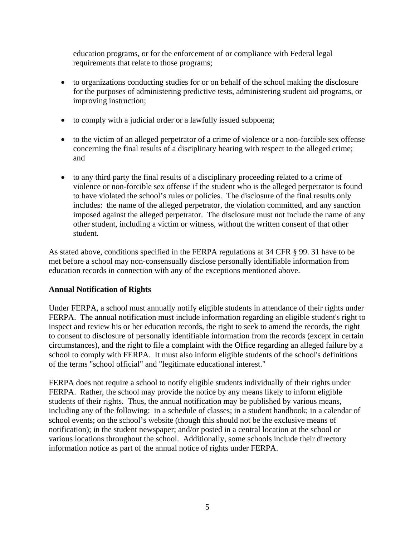education programs, or for the enforcement of or compliance with Federal legal requirements that relate to those programs;

- to organizations conducting studies for or on behalf of the school making the disclosure for the purposes of administering predictive tests, administering student aid programs, or improving instruction;
- to comply with a judicial order or a lawfully issued subpoena;
- to the victim of an alleged perpetrator of a crime of violence or a non-forcible sex offense concerning the final results of a disciplinary hearing with respect to the alleged crime; and
- to any third party the final results of a disciplinary proceeding related to a crime of violence or non-forcible sex offense if the student who is the alleged perpetrator is found to have violated the school's rules or policies. The disclosure of the final results only includes: the name of the alleged perpetrator, the violation committed, and any sanction imposed against the alleged perpetrator. The disclosure must not include the name of any other student, including a victim or witness, without the written consent of that other student.

As stated above, conditions specified in the FERPA regulations at 34 CFR § 99. 31 have to be met before a school may non-consensually disclose personally identifiable information from education records in connection with any of the exceptions mentioned above.

### **Annual Notification of Rights**

Under FERPA, a school must annually notify eligible students in attendance of their rights under FERPA. The annual notification must include information regarding an eligible student's right to inspect and review his or her education records, the right to seek to amend the records, the right to consent to disclosure of personally identifiable information from the records (except in certain circumstances), and the right to file a complaint with the Office regarding an alleged failure by a school to comply with FERPA. It must also inform eligible students of the school's definitions of the terms "school official" and "legitimate educational interest."

FERPA does not require a school to notify eligible students individually of their rights under FERPA. Rather, the school may provide the notice by any means likely to inform eligible students of their rights. Thus, the annual notification may be published by various means, including any of the following: in a schedule of classes; in a student handbook; in a calendar of school events; on the school's website (though this should not be the exclusive means of notification); in the student newspaper; and/or posted in a central location at the school or various locations throughout the school. Additionally, some schools include their directory information notice as part of the annual notice of rights under FERPA.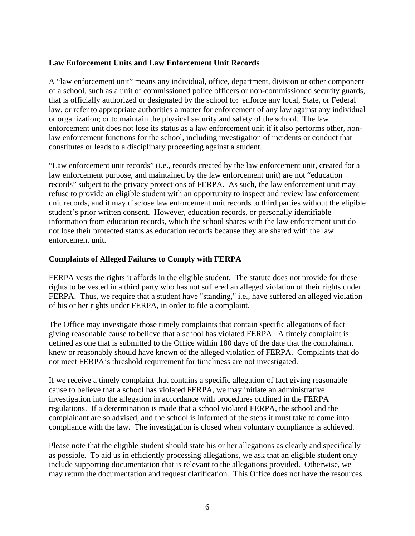#### **Law Enforcement Units and Law Enforcement Unit Records**

A "law enforcement unit" means any individual, office, department, division or other component of a school, such as a unit of commissioned police officers or non-commissioned security guards, that is officially authorized or designated by the school to: enforce any local, State, or Federal law, or refer to appropriate authorities a matter for enforcement of any law against any individual or organization; or to maintain the physical security and safety of the school. The law enforcement unit does not lose its status as a law enforcement unit if it also performs other, nonlaw enforcement functions for the school, including investigation of incidents or conduct that constitutes or leads to a disciplinary proceeding against a student.

"Law enforcement unit records" (i.e., records created by the law enforcement unit, created for a law enforcement purpose, and maintained by the law enforcement unit) are not "education records" subject to the privacy protections of FERPA. As such, the law enforcement unit may refuse to provide an eligible student with an opportunity to inspect and review law enforcement unit records, and it may disclose law enforcement unit records to third parties without the eligible student's prior written consent. However, education records, or personally identifiable information from education records, which the school shares with the law enforcement unit do not lose their protected status as education records because they are shared with the law enforcement unit.

#### **Complaints of Alleged Failures to Comply with FERPA**

FERPA vests the rights it affords in the eligible student. The statute does not provide for these rights to be vested in a third party who has not suffered an alleged violation of their rights under FERPA. Thus, we require that a student have "standing," i.e., have suffered an alleged violation of his or her rights under FERPA, in order to file a complaint.

The Office may investigate those timely complaints that contain specific allegations of fact giving reasonable cause to believe that a school has violated FERPA. A timely complaint is defined as one that is submitted to the Office within 180 days of the date that the complainant knew or reasonably should have known of the alleged violation of FERPA. Complaints that do not meet FERPA's threshold requirement for timeliness are not investigated.

If we receive a timely complaint that contains a specific allegation of fact giving reasonable cause to believe that a school has violated FERPA, we may initiate an administrative investigation into the allegation in accordance with procedures outlined in the FERPA regulations. If a determination is made that a school violated FERPA, the school and the complainant are so advised, and the school is informed of the steps it must take to come into compliance with the law. The investigation is closed when voluntary compliance is achieved.

Please note that the eligible student should state his or her allegations as clearly and specifically as possible. To aid us in efficiently processing allegations, we ask that an eligible student only include supporting documentation that is relevant to the allegations provided. Otherwise, we may return the documentation and request clarification. This Office does not have the resources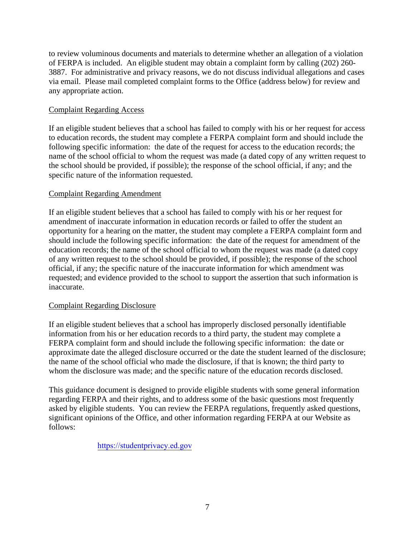to review voluminous documents and materials to determine whether an allegation of a violation of FERPA is included. An eligible student may obtain a complaint form by calling (202) 260- 3887. For administrative and privacy reasons, we do not discuss individual allegations and cases via email. Please mail completed complaint forms to the Office (address below) for review and any appropriate action.

#### Complaint Regarding Access

If an eligible student believes that a school has failed to comply with his or her request for access to education records, the student may complete a FERPA complaint form and should include the following specific information: the date of the request for access to the education records; the name of the school official to whom the request was made (a dated copy of any written request to the school should be provided, if possible); the response of the school official, if any; and the specific nature of the information requested.

#### Complaint Regarding Amendment

If an eligible student believes that a school has failed to comply with his or her request for amendment of inaccurate information in education records or failed to offer the student an opportunity for a hearing on the matter, the student may complete a FERPA complaint form and should include the following specific information: the date of the request for amendment of the education records; the name of the school official to whom the request was made (a dated copy of any written request to the school should be provided, if possible); the response of the school official, if any; the specific nature of the inaccurate information for which amendment was requested; and evidence provided to the school to support the assertion that such information is inaccurate.

#### Complaint Regarding Disclosure

If an eligible student believes that a school has improperly disclosed personally identifiable information from his or her education records to a third party, the student may complete a FERPA complaint form and should include the following specific information: the date or approximate date the alleged disclosure occurred or the date the student learned of the disclosure; the name of the school official who made the disclosure, if that is known; the third party to whom the disclosure was made; and the specific nature of the education records disclosed.

This guidance document is designed to provide eligible students with some general information regarding FERPA and their rights, and to address some of the basic questions most frequently asked by eligible students. You can review the FERPA regulations, frequently asked questions, significant opinions of the Office, and other information regarding FERPA at our Website as follows:

### https://studentprivacy.ed.gov